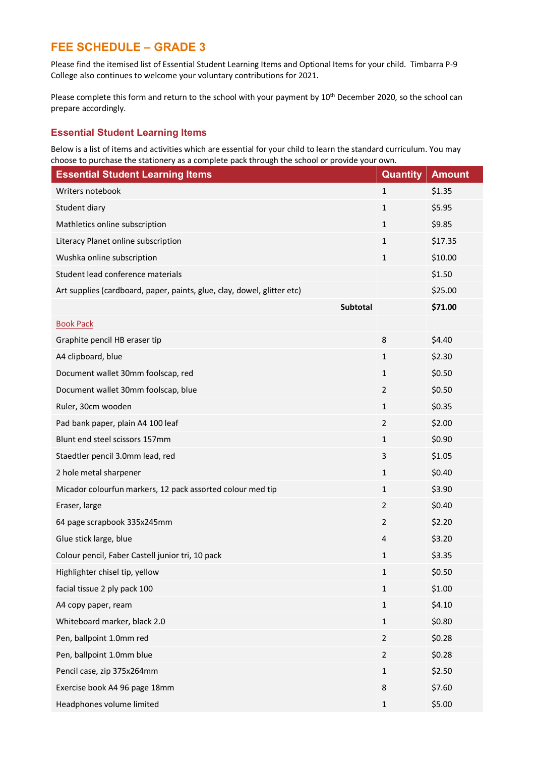# **FEE SCHEDULE – GRADE 3**

Please find the itemised list of Essential Student Learning Items and Optional Items for your child. Timbarra P-9 College also continues to welcome your voluntary contributions for 2021.

Please complete this form and return to the school with your payment by 10<sup>th</sup> December 2020, so the school can prepare accordingly.

### **Essential Student Learning Items**

Below is a list of items and activities which are essential for your child to learn the standard curriculum. You may choose to purchase the stationery as a complete pack through the school or provide your own.

| <b>Essential Student Learning Items</b>                                 | Quantity       | <b>Amount</b> |
|-------------------------------------------------------------------------|----------------|---------------|
| Writers notebook                                                        | $\mathbf{1}$   | \$1.35        |
| Student diary                                                           | 1              | \$5.95        |
| Mathletics online subscription                                          | $\mathbf{1}$   | \$9.85        |
| Literacy Planet online subscription                                     | $\mathbf{1}$   | \$17.35       |
| Wushka online subscription                                              | 1              | \$10.00       |
| Student lead conference materials                                       |                | \$1.50        |
| Art supplies (cardboard, paper, paints, glue, clay, dowel, glitter etc) |                | \$25.00       |
| Subtotal                                                                |                | \$71.00       |
| <b>Book Pack</b>                                                        |                |               |
| Graphite pencil HB eraser tip                                           | 8              | \$4.40        |
| A4 clipboard, blue                                                      | 1              | \$2.30        |
| Document wallet 30mm foolscap, red                                      | 1              | \$0.50        |
| Document wallet 30mm foolscap, blue                                     | $\overline{2}$ | \$0.50        |
| Ruler, 30cm wooden                                                      | $\mathbf{1}$   | \$0.35        |
| Pad bank paper, plain A4 100 leaf                                       | $\overline{2}$ | \$2.00        |
| Blunt end steel scissors 157mm                                          | 1              | \$0.90        |
| Staedtler pencil 3.0mm lead, red                                        | 3              | \$1.05        |
| 2 hole metal sharpener                                                  | $\mathbf{1}$   | \$0.40        |
| Micador colourfun markers, 12 pack assorted colour med tip              | $\mathbf{1}$   | \$3.90        |
| Eraser, large                                                           | $\overline{2}$ | \$0.40        |
| 64 page scrapbook 335x245mm                                             | $\overline{2}$ | \$2.20        |
| Glue stick large, blue                                                  | 4              | \$3.20        |
| Colour pencil, Faber Castell junior tri, 10 pack                        | 1              | \$3.35        |
| Highlighter chisel tip, yellow                                          | 1              | \$0.50        |
| facial tissue 2 ply pack 100                                            | $\mathbf{1}$   | \$1.00        |
| A4 copy paper, ream                                                     | $\mathbf 1$    | \$4.10        |
| Whiteboard marker, black 2.0                                            | $\mathbf{1}$   | \$0.80        |
| Pen, ballpoint 1.0mm red                                                | $\overline{2}$ | \$0.28        |
| Pen, ballpoint 1.0mm blue                                               | $\overline{2}$ | \$0.28        |
| Pencil case, zip 375x264mm                                              | $\mathbf 1$    | \$2.50        |
| Exercise book A4 96 page 18mm                                           | 8              | \$7.60        |
| Headphones volume limited                                               | $\mathbf{1}$   | \$5.00        |